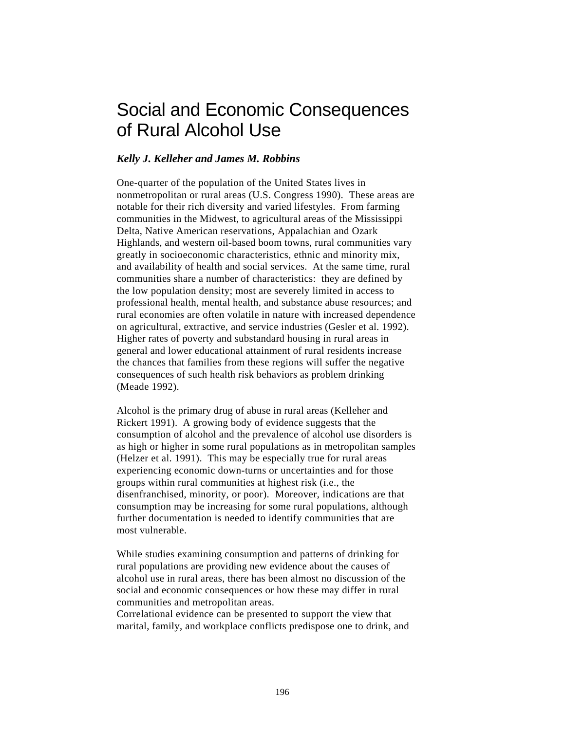# Social and Economic Consequences of Rural Alcohol Use

### *Kelly J. Kelleher and James M. Robbins*

One-quarter of the population of the United States lives in nonmetropolitan or rural areas (U.S. Congress 1990). These areas are notable for their rich diversity and varied lifestyles. From farming communities in the Midwest, to agricultural areas of the Mississippi Delta, Native American reservations, Appalachian and Ozark Highlands, and western oil-based boom towns, rural communities vary greatly in socioeconomic characteristics, ethnic and minority mix, and availability of health and social services. At the same time, rural communities share a number of characteristics: they are defined by the low population density; most are severely limited in access to professional health, mental health, and substance abuse resources; and rural economies are often volatile in nature with increased dependence on agricultural, extractive, and service industries (Gesler et al. 1992). Higher rates of poverty and substandard housing in rural areas in general and lower educational attainment of rural residents increase the chances that families from these regions will suffer the negative consequences of such health risk behaviors as problem drinking (Meade 1992).

Alcohol is the primary drug of abuse in rural areas (Kelleher and Rickert 1991). A growing body of evidence suggests that the consumption of alcohol and the prevalence of alcohol use disorders is as high or higher in some rural populations as in metropolitan samples (Helzer et al. 1991). This may be especially true for rural areas experiencing economic down-turns or uncertainties and for those groups within rural communities at highest risk (i.e., the disenfranchised, minority, or poor). Moreover, indications are that consumption may be increasing for some rural populations, although further documentation is needed to identify communities that are most vulnerable.

While studies examining consumption and patterns of drinking for rural populations are providing new evidence about the causes of alcohol use in rural areas, there has been almost no discussion of the social and economic consequences or how these may differ in rural communities and metropolitan areas.

Correlational evidence can be presented to support the view that marital, family, and workplace conflicts predispose one to drink, and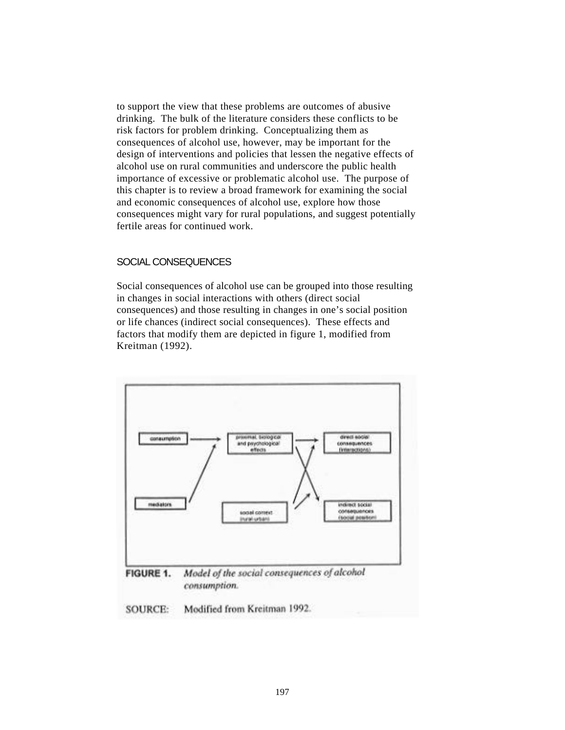to support the view that these problems are outcomes of abusive drinking. The bulk of the literature considers these conflicts to be risk factors for problem drinking. Conceptualizing them as consequences of alcohol use, however, may be important for the design of interventions and policies that lessen the negative effects of alcohol use on rural communities and underscore the public health importance of excessive or problematic alcohol use. The purpose of this chapter is to review a broad framework for examining the social and economic consequences of alcohol use, explore how those consequences might vary for rural populations, and suggest potentially fertile areas for continued work.

#### SOCIAL CONSEQUENCES

Social consequences of alcohol use can be grouped into those resulting in changes in social interactions with others (direct social consequences) and those resulting in changes in one's social position or life chances (indirect social consequences). These effects and factors that modify them are depicted in figure 1, modified from Kreitman (1992).



consumption.

**SOURCE:** Modified from Kreitman 1992.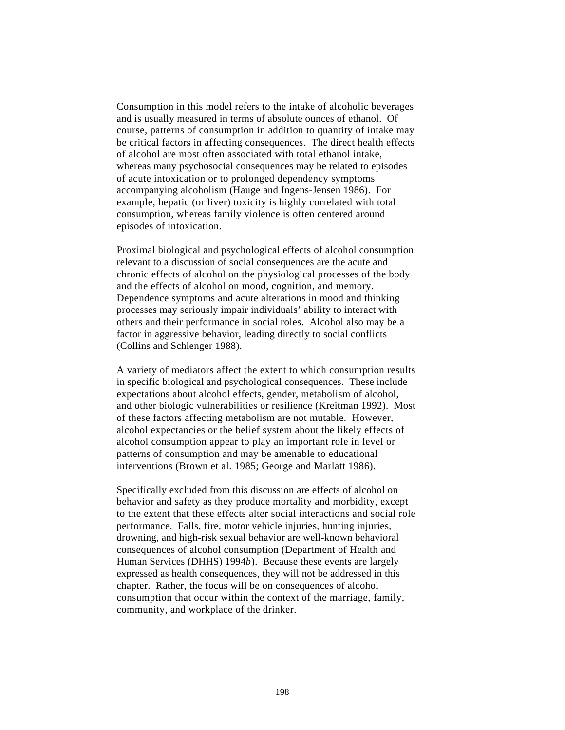Consumption in this model refers to the intake of alcoholic beverages and is usually measured in terms of absolute ounces of ethanol. Of course, patterns of consumption in addition to quantity of intake may be critical factors in affecting consequences. The direct health effects of alcohol are most often associated with total ethanol intake, whereas many psychosocial consequences may be related to episodes of acute intoxication or to prolonged dependency symptoms accompanying alcoholism (Hauge and Ingens-Jensen 1986). For example, hepatic (or liver) toxicity is highly correlated with total consumption, whereas family violence is often centered around episodes of intoxication.

Proximal biological and psychological effects of alcohol consumption relevant to a discussion of social consequences are the acute and chronic effects of alcohol on the physiological processes of the body and the effects of alcohol on mood, cognition, and memory. Dependence symptoms and acute alterations in mood and thinking processes may seriously impair individuals' ability to interact with others and their performance in social roles. Alcohol also may be a factor in aggressive behavior, leading directly to social conflicts (Collins and Schlenger 1988).

A variety of mediators affect the extent to which consumption results in specific biological and psychological consequences. These include expectations about alcohol effects, gender, metabolism of alcohol, and other biologic vulnerabilities or resilience (Kreitman 1992). Most of these factors affecting metabolism are not mutable. However, alcohol expectancies or the belief system about the likely effects of alcohol consumption appear to play an important role in level or patterns of consumption and may be amenable to educational interventions (Brown et al. 1985; George and Marlatt 1986).

Specifically excluded from this discussion are effects of alcohol on behavior and safety as they produce mortality and morbidity, except to the extent that these effects alter social interactions and social role performance. Falls, fire, motor vehicle injuries, hunting injuries, drowning, and high-risk sexual behavior are well-known behavioral consequences of alcohol consumption (Department of Health and Human Services (DHHS) 1994*b*). Because these events are largely expressed as health consequences, they will not be addressed in this chapter. Rather, the focus will be on consequences of alcohol consumption that occur within the context of the marriage, family, community, and workplace of the drinker.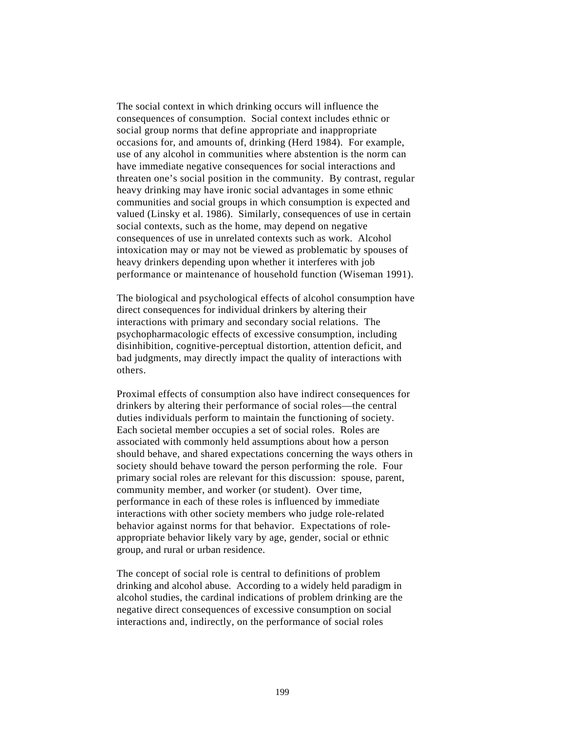The social context in which drinking occurs will influence the consequences of consumption. Social context includes ethnic or social group norms that define appropriate and inappropriate occasions for, and amounts of, drinking (Herd 1984). For example, use of any alcohol in communities where abstention is the norm can have immediate negative consequences for social interactions and threaten one's social position in the community. By contrast, regular heavy drinking may have ironic social advantages in some ethnic communities and social groups in which consumption is expected and valued (Linsky et al. 1986). Similarly, consequences of use in certain social contexts, such as the home, may depend on negative consequences of use in unrelated contexts such as work. Alcohol intoxication may or may not be viewed as problematic by spouses of heavy drinkers depending upon whether it interferes with job performance or maintenance of household function (Wiseman 1991).

The biological and psychological effects of alcohol consumption have direct consequences for individual drinkers by altering their interactions with primary and secondary social relations. The psychopharmacologic effects of excessive consumption, including disinhibition, cognitive-perceptual distortion, attention deficit, and bad judgments, may directly impact the quality of interactions with others.

Proximal effects of consumption also have indirect consequences for drinkers by altering their performance of social roles—the central duties individuals perform to maintain the functioning of society. Each societal member occupies a set of social roles. Roles are associated with commonly held assumptions about how a person should behave, and shared expectations concerning the ways others in society should behave toward the person performing the role. Four primary social roles are relevant for this discussion: spouse, parent, community member, and worker (or student). Over time, performance in each of these roles is influenced by immediate interactions with other society members who judge role-related behavior against norms for that behavior. Expectations of roleappropriate behavior likely vary by age, gender, social or ethnic group, and rural or urban residence.

The concept of social role is central to definitions of problem drinking and alcohol abuse. According to a widely held paradigm in alcohol studies, the cardinal indications of problem drinking are the negative direct consequences of excessive consumption on social interactions and, indirectly, on the performance of social roles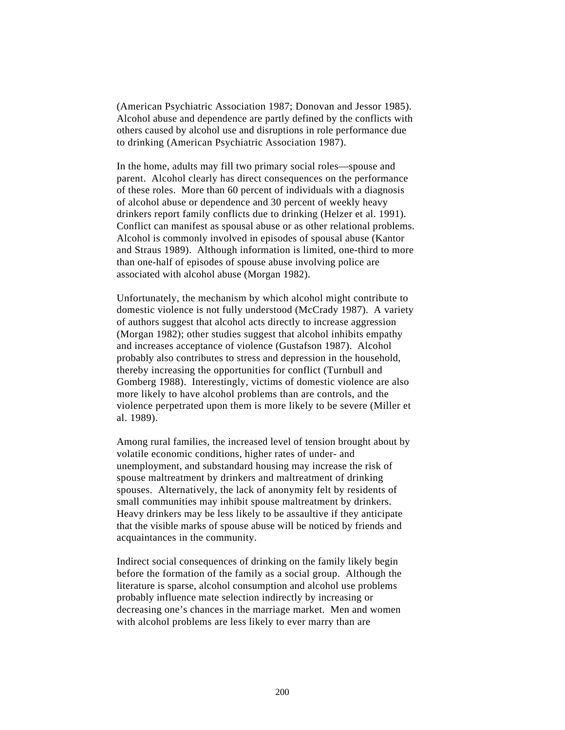(American Psychiatric Association 1987; Donovan and Jessor 1985). Alcohol abuse and dependence are partly defined by the conflicts with others caused by alcohol use and disruptions in role performance due to drinking (American Psychiatric Association 1987).

In the home, adults may fill two primary social roles—spouse and parent. Alcohol clearly has direct consequences on the performance of these roles. More than 60 percent of individuals with a diagnosis of alcohol abuse or dependence and 30 percent of weekly heavy drinkers report family conflicts due to drinking (Helzer et al. 1991). Conflict can manifest as spousal abuse or as other relational problems. Alcohol is commonly involved in episodes of spousal abuse (Kantor and Straus 1989). Although information is limited, one-third to more than one-half of episodes of spouse abuse involving police are associated with alcohol abuse (Morgan 1982).

Unfortunately, the mechanism by which alcohol might contribute to domestic violence is not fully understood (McCrady 1987). A variety of authors suggest that alcohol acts directly to increase aggression (Morgan 1982); other studies suggest that alcohol inhibits empathy and increases acceptance of violence (Gustafson 1987). Alcohol probably also contributes to stress and depression in the household, thereby increasing the opportunities for conflict (Turnbull and Gomberg 1988). Interestingly, victims of domestic violence are also more likely to have alcohol problems than are controls, and the violence perpetrated upon them is more likely to be severe (Miller et al. 1989).

Among rural families, the increased level of tension brought about by volatile economic conditions, higher rates of under- and unemployment, and substandard housing may increase the risk of spouse maltreatment by drinkers and maltreatment of drinking spouses. Alternatively, the lack of anonymity felt by residents of small communities may inhibit spouse maltreatment by drinkers. Heavy drinkers may be less likely to be assaultive if they anticipate that the visible marks of spouse abuse will be noticed by friends and acquaintances in the community.

Indirect social consequences of drinking on the family likely begin before the formation of the family as a social group. Although the literature is sparse, alcohol consumption and alcohol use problems probably influence mate selection indirectly by increasing or decreasing one's chances in the marriage market. Men and women with alcohol problems are less likely to ever marry than are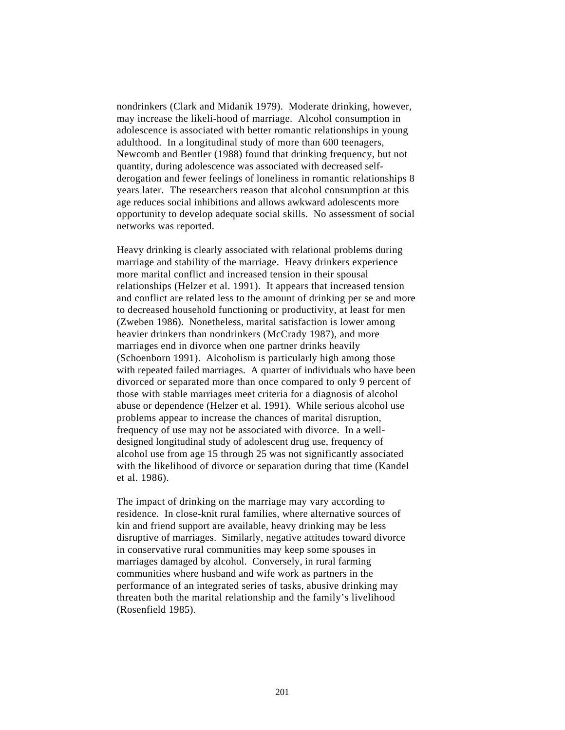nondrinkers (Clark and Midanik 1979). Moderate drinking, however, may increase the likeli-hood of marriage. Alcohol consumption in adolescence is associated with better romantic relationships in young adulthood. In a longitudinal study of more than 600 teenagers, Newcomb and Bentler (1988) found that drinking frequency, but not quantity, during adolescence was associated with decreased selfderogation and fewer feelings of loneliness in romantic relationships 8 years later. The researchers reason that alcohol consumption at this age reduces social inhibitions and allows awkward adolescents more opportunity to develop adequate social skills. No assessment of social networks was reported.

Heavy drinking is clearly associated with relational problems during marriage and stability of the marriage. Heavy drinkers experience more marital conflict and increased tension in their spousal relationships (Helzer et al. 1991). It appears that increased tension and conflict are related less to the amount of drinking per se and more to decreased household functioning or productivity, at least for men (Zweben 1986). Nonetheless, marital satisfaction is lower among heavier drinkers than nondrinkers (McCrady 1987), and more marriages end in divorce when one partner drinks heavily (Schoenborn 1991). Alcoholism is particularly high among those with repeated failed marriages. A quarter of individuals who have been divorced or separated more than once compared to only 9 percent of those with stable marriages meet criteria for a diagnosis of alcohol abuse or dependence (Helzer et al. 1991). While serious alcohol use problems appear to increase the chances of marital disruption, frequency of use may not be associated with divorce. In a welldesigned longitudinal study of adolescent drug use, frequency of alcohol use from age 15 through 25 was not significantly associated with the likelihood of divorce or separation during that time (Kandel et al. 1986).

The impact of drinking on the marriage may vary according to residence. In close-knit rural families, where alternative sources of kin and friend support are available, heavy drinking may be less disruptive of marriages. Similarly, negative attitudes toward divorce in conservative rural communities may keep some spouses in marriages damaged by alcohol. Conversely, in rural farming communities where husband and wife work as partners in the performance of an integrated series of tasks, abusive drinking may threaten both the marital relationship and the family's livelihood (Rosenfield 1985).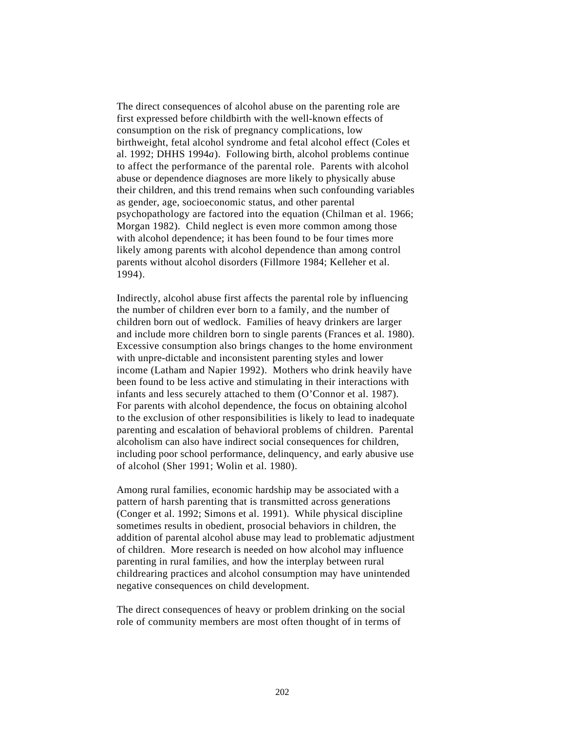The direct consequences of alcohol abuse on the parenting role are first expressed before childbirth with the well-known effects of consumption on the risk of pregnancy complications, low birthweight, fetal alcohol syndrome and fetal alcohol effect (Coles et al. 1992; DHHS 1994*a*). Following birth, alcohol problems continue to affect the performance of the parental role. Parents with alcohol abuse or dependence diagnoses are more likely to physically abuse their children, and this trend remains when such confounding variables as gender, age, socioeconomic status, and other parental psychopathology are factored into the equation (Chilman et al. 1966; Morgan 1982). Child neglect is even more common among those with alcohol dependence; it has been found to be four times more likely among parents with alcohol dependence than among control parents without alcohol disorders (Fillmore 1984; Kelleher et al. 1994).

Indirectly, alcohol abuse first affects the parental role by influencing the number of children ever born to a family, and the number of children born out of wedlock. Families of heavy drinkers are larger and include more children born to single parents (Frances et al. 1980). Excessive consumption also brings changes to the home environment with unpre-dictable and inconsistent parenting styles and lower income (Latham and Napier 1992). Mothers who drink heavily have been found to be less active and stimulating in their interactions with infants and less securely attached to them (O'Connor et al. 1987). For parents with alcohol dependence, the focus on obtaining alcohol to the exclusion of other responsibilities is likely to lead to inadequate parenting and escalation of behavioral problems of children. Parental alcoholism can also have indirect social consequences for children, including poor school performance, delinquency, and early abusive use of alcohol (Sher 1991; Wolin et al. 1980).

Among rural families, economic hardship may be associated with a pattern of harsh parenting that is transmitted across generations (Conger et al. 1992; Simons et al. 1991). While physical discipline sometimes results in obedient, prosocial behaviors in children, the addition of parental alcohol abuse may lead to problematic adjustment of children. More research is needed on how alcohol may influence parenting in rural families, and how the interplay between rural childrearing practices and alcohol consumption may have unintended negative consequences on child development.

The direct consequences of heavy or problem drinking on the social role of community members are most often thought of in terms of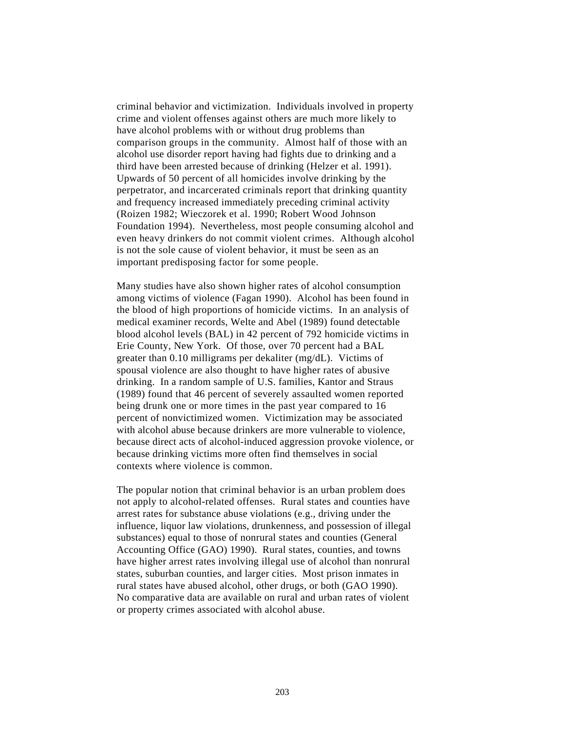criminal behavior and victimization. Individuals involved in property crime and violent offenses against others are much more likely to have alcohol problems with or without drug problems than comparison groups in the community. Almost half of those with an alcohol use disorder report having had fights due to drinking and a third have been arrested because of drinking (Helzer et al. 1991). Upwards of 50 percent of all homicides involve drinking by the perpetrator, and incarcerated criminals report that drinking quantity and frequency increased immediately preceding criminal activity (Roizen 1982; Wieczorek et al. 1990; Robert Wood Johnson Foundation 1994). Nevertheless, most people consuming alcohol and even heavy drinkers do not commit violent crimes. Although alcohol is not the sole cause of violent behavior, it must be seen as an important predisposing factor for some people.

Many studies have also shown higher rates of alcohol consumption among victims of violence (Fagan 1990). Alcohol has been found in the blood of high proportions of homicide victims. In an analysis of medical examiner records, Welte and Abel (1989) found detectable blood alcohol levels (BAL) in 42 percent of 792 homicide victims in Erie County, New York. Of those, over 70 percent had a BAL greater than 0.10 milligrams per dekaliter (mg/dL). Victims of spousal violence are also thought to have higher rates of abusive drinking. In a random sample of U.S. families, Kantor and Straus (1989) found that 46 percent of severely assaulted women reported being drunk one or more times in the past year compared to 16 percent of nonvictimized women. Victimization may be associated with alcohol abuse because drinkers are more vulnerable to violence, because direct acts of alcohol-induced aggression provoke violence, or because drinking victims more often find themselves in social contexts where violence is common.

The popular notion that criminal behavior is an urban problem does not apply to alcohol-related offenses. Rural states and counties have arrest rates for substance abuse violations (e.g., driving under the influence, liquor law violations, drunkenness, and possession of illegal substances) equal to those of nonrural states and counties (General Accounting Office (GAO) 1990). Rural states, counties, and towns have higher arrest rates involving illegal use of alcohol than nonrural states, suburban counties, and larger cities. Most prison inmates in rural states have abused alcohol, other drugs, or both (GAO 1990). No comparative data are available on rural and urban rates of violent or property crimes associated with alcohol abuse.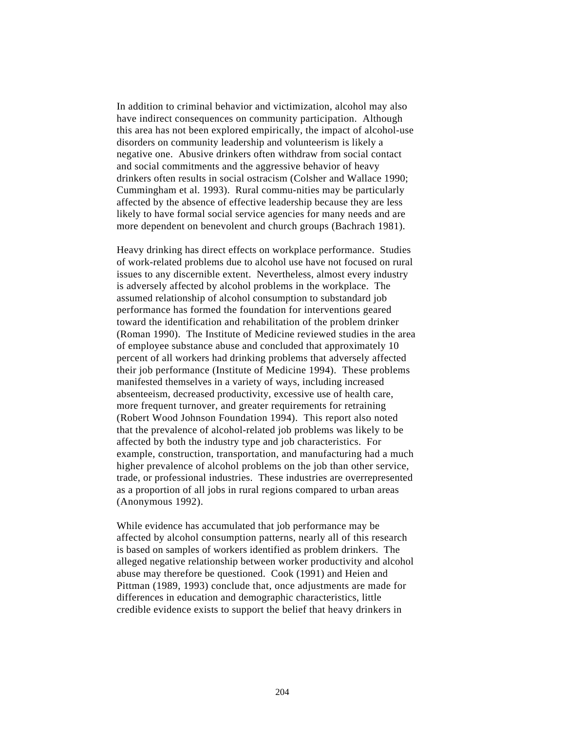In addition to criminal behavior and victimization, alcohol may also have indirect consequences on community participation. Although this area has not been explored empirically, the impact of alcohol-use disorders on community leadership and volunteerism is likely a negative one. Abusive drinkers often withdraw from social contact and social commitments and the aggressive behavior of heavy drinkers often results in social ostracism (Colsher and Wallace 1990; Cummingham et al. 1993). Rural commu-nities may be particularly affected by the absence of effective leadership because they are less likely to have formal social service agencies for many needs and are more dependent on benevolent and church groups (Bachrach 1981).

Heavy drinking has direct effects on workplace performance. Studies of work-related problems due to alcohol use have not focused on rural issues to any discernible extent. Nevertheless, almost every industry is adversely affected by alcohol problems in the workplace. The assumed relationship of alcohol consumption to substandard job performance has formed the foundation for interventions geared toward the identification and rehabilitation of the problem drinker (Roman 1990). The Institute of Medicine reviewed studies in the area of employee substance abuse and concluded that approximately 10 percent of all workers had drinking problems that adversely affected their job performance (Institute of Medicine 1994). These problems manifested themselves in a variety of ways, including increased absenteeism, decreased productivity, excessive use of health care, more frequent turnover, and greater requirements for retraining (Robert Wood Johnson Foundation 1994). This report also noted that the prevalence of alcohol-related job problems was likely to be affected by both the industry type and job characteristics. For example, construction, transportation, and manufacturing had a much higher prevalence of alcohol problems on the job than other service, trade, or professional industries. These industries are overrepresented as a proportion of all jobs in rural regions compared to urban areas (Anonymous 1992).

While evidence has accumulated that job performance may be affected by alcohol consumption patterns, nearly all of this research is based on samples of workers identified as problem drinkers. The alleged negative relationship between worker productivity and alcohol abuse may therefore be questioned. Cook (1991) and Heien and Pittman (1989, 1993) conclude that, once adjustments are made for differences in education and demographic characteristics, little credible evidence exists to support the belief that heavy drinkers in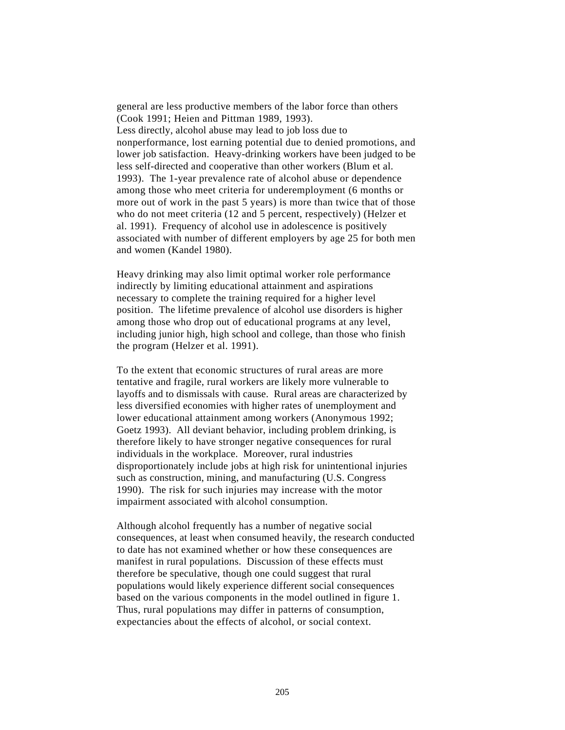general are less productive members of the labor force than others (Cook 1991; Heien and Pittman 1989, 1993). Less directly, alcohol abuse may lead to job loss due to nonperformance, lost earning potential due to denied promotions, and lower job satisfaction. Heavy-drinking workers have been judged to be less self-directed and cooperative than other workers (Blum et al. 1993). The 1-year prevalence rate of alcohol abuse or dependence among those who meet criteria for underemployment (6 months or more out of work in the past 5 years) is more than twice that of those who do not meet criteria (12 and 5 percent, respectively) (Helzer et al. 1991). Frequency of alcohol use in adolescence is positively associated with number of different employers by age 25 for both men and women (Kandel 1980).

Heavy drinking may also limit optimal worker role performance indirectly by limiting educational attainment and aspirations necessary to complete the training required for a higher level position. The lifetime prevalence of alcohol use disorders is higher among those who drop out of educational programs at any level, including junior high, high school and college, than those who finish the program (Helzer et al. 1991).

To the extent that economic structures of rural areas are more tentative and fragile, rural workers are likely more vulnerable to layoffs and to dismissals with cause. Rural areas are characterized by less diversified economies with higher rates of unemployment and lower educational attainment among workers (Anonymous 1992; Goetz 1993). All deviant behavior, including problem drinking, is therefore likely to have stronger negative consequences for rural individuals in the workplace. Moreover, rural industries disproportionately include jobs at high risk for unintentional injuries such as construction, mining, and manufacturing (U.S. Congress 1990). The risk for such injuries may increase with the motor impairment associated with alcohol consumption.

Although alcohol frequently has a number of negative social consequences, at least when consumed heavily, the research conducted to date has not examined whether or how these consequences are manifest in rural populations. Discussion of these effects must therefore be speculative, though one could suggest that rural populations would likely experience different social consequences based on the various components in the model outlined in figure 1. Thus, rural populations may differ in patterns of consumption, expectancies about the effects of alcohol, or social context.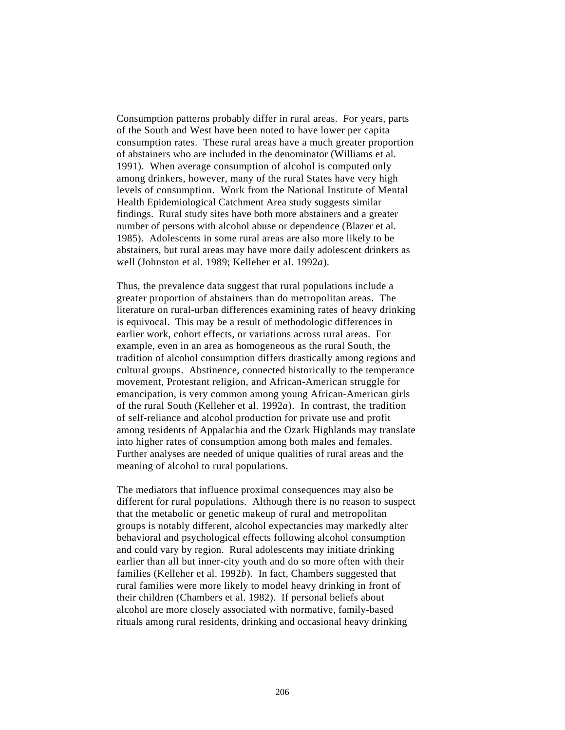Consumption patterns probably differ in rural areas. For years, parts of the South and West have been noted to have lower per capita consumption rates. These rural areas have a much greater proportion of abstainers who are included in the denominator (Williams et al. 1991). When average consumption of alcohol is computed only among drinkers, however, many of the rural States have very high levels of consumption. Work from the National Institute of Mental Health Epidemiological Catchment Area study suggests similar findings. Rural study sites have both more abstainers and a greater number of persons with alcohol abuse or dependence (Blazer et al. 1985). Adolescents in some rural areas are also more likely to be abstainers, but rural areas may have more daily adolescent drinkers as well (Johnston et al. 1989; Kelleher et al. 1992*a*).

Thus, the prevalence data suggest that rural populations include a greater proportion of abstainers than do metropolitan areas. The literature on rural-urban differences examining rates of heavy drinking is equivocal. This may be a result of methodologic differences in earlier work, cohort effects, or variations across rural areas. For example, even in an area as homogeneous as the rural South, the tradition of alcohol consumption differs drastically among regions and cultural groups. Abstinence, connected historically to the temperance movement, Protestant religion, and African-American struggle for emancipation, is very common among young African-American girls of the rural South (Kelleher et al. 1992*a*). In contrast, the tradition of self-reliance and alcohol production for private use and profit among residents of Appalachia and the Ozark Highlands may translate into higher rates of consumption among both males and females. Further analyses are needed of unique qualities of rural areas and the meaning of alcohol to rural populations.

The mediators that influence proximal consequences may also be different for rural populations. Although there is no reason to suspect that the metabolic or genetic makeup of rural and metropolitan groups is notably different, alcohol expectancies may markedly alter behavioral and psychological effects following alcohol consumption and could vary by region. Rural adolescents may initiate drinking earlier than all but inner-city youth and do so more often with their families (Kelleher et al. 1992*b*). In fact, Chambers suggested that rural families were more likely to model heavy drinking in front of their children (Chambers et al. 1982). If personal beliefs about alcohol are more closely associated with normative, family-based rituals among rural residents, drinking and occasional heavy drinking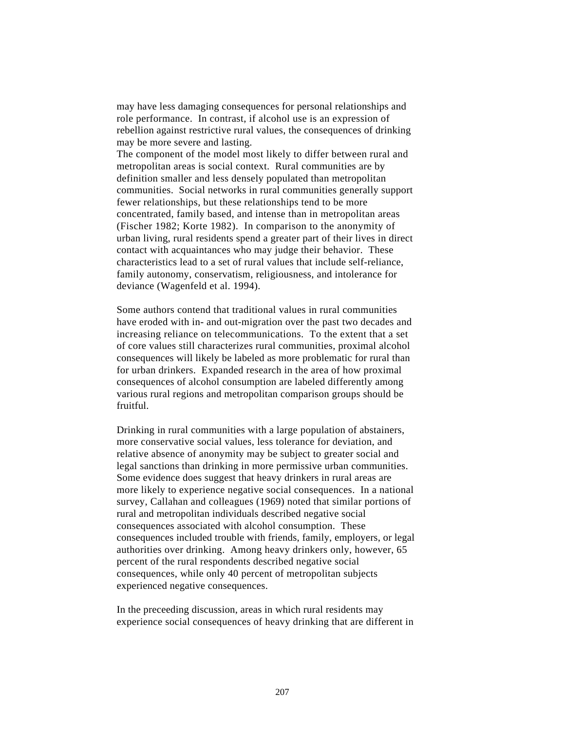may have less damaging consequences for personal relationships and role performance. In contrast, if alcohol use is an expression of rebellion against restrictive rural values, the consequences of drinking may be more severe and lasting.

The component of the model most likely to differ between rural and metropolitan areas is social context. Rural communities are by definition smaller and less densely populated than metropolitan communities. Social networks in rural communities generally support fewer relationships, but these relationships tend to be more concentrated, family based, and intense than in metropolitan areas (Fischer 1982; Korte 1982). In comparison to the anonymity of urban living, rural residents spend a greater part of their lives in direct contact with acquaintances who may judge their behavior. These characteristics lead to a set of rural values that include self-reliance, family autonomy, conservatism, religiousness, and intolerance for deviance (Wagenfeld et al. 1994).

Some authors contend that traditional values in rural communities have eroded with in- and out-migration over the past two decades and increasing reliance on telecommunications. To the extent that a set of core values still characterizes rural communities, proximal alcohol consequences will likely be labeled as more problematic for rural than for urban drinkers. Expanded research in the area of how proximal consequences of alcohol consumption are labeled differently among various rural regions and metropolitan comparison groups should be fruitful.

Drinking in rural communities with a large population of abstainers, more conservative social values, less tolerance for deviation, and relative absence of anonymity may be subject to greater social and legal sanctions than drinking in more permissive urban communities. Some evidence does suggest that heavy drinkers in rural areas are more likely to experience negative social consequences. In a national survey, Callahan and colleagues (1969) noted that similar portions of rural and metropolitan individuals described negative social consequences associated with alcohol consumption. These consequences included trouble with friends, family, employers, or legal authorities over drinking. Among heavy drinkers only, however, 65 percent of the rural respondents described negative social consequences, while only 40 percent of metropolitan subjects experienced negative consequences.

In the preceeding discussion, areas in which rural residents may experience social consequences of heavy drinking that are different in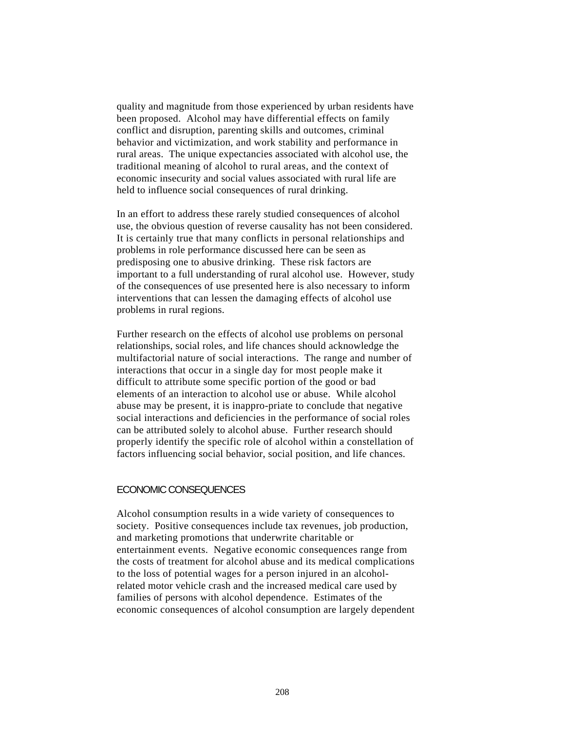quality and magnitude from those experienced by urban residents have been proposed. Alcohol may have differential effects on family conflict and disruption, parenting skills and outcomes, criminal behavior and victimization, and work stability and performance in rural areas. The unique expectancies associated with alcohol use, the traditional meaning of alcohol to rural areas, and the context of economic insecurity and social values associated with rural life are held to influence social consequences of rural drinking.

In an effort to address these rarely studied consequences of alcohol use, the obvious question of reverse causality has not been considered. It is certainly true that many conflicts in personal relationships and problems in role performance discussed here can be seen as predisposing one to abusive drinking. These risk factors are important to a full understanding of rural alcohol use. However, study of the consequences of use presented here is also necessary to inform interventions that can lessen the damaging effects of alcohol use problems in rural regions.

Further research on the effects of alcohol use problems on personal relationships, social roles, and life chances should acknowledge the multifactorial nature of social interactions. The range and number of interactions that occur in a single day for most people make it difficult to attribute some specific portion of the good or bad elements of an interaction to alcohol use or abuse. While alcohol abuse may be present, it is inappro-priate to conclude that negative social interactions and deficiencies in the performance of social roles can be attributed solely to alcohol abuse. Further research should properly identify the specific role of alcohol within a constellation of factors influencing social behavior, social position, and life chances.

#### ECONOMIC CONSEQUENCES

Alcohol consumption results in a wide variety of consequences to society. Positive consequences include tax revenues, job production, and marketing promotions that underwrite charitable or entertainment events. Negative economic consequences range from the costs of treatment for alcohol abuse and its medical complications to the loss of potential wages for a person injured in an alcoholrelated motor vehicle crash and the increased medical care used by families of persons with alcohol dependence. Estimates of the economic consequences of alcohol consumption are largely dependent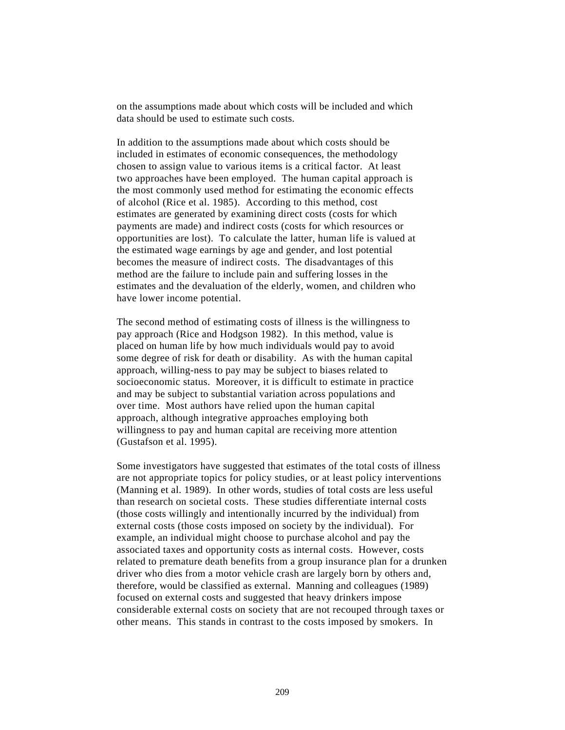on the assumptions made about which costs will be included and which data should be used to estimate such costs.

In addition to the assumptions made about which costs should be included in estimates of economic consequences, the methodology chosen to assign value to various items is a critical factor. At least two approaches have been employed. The human capital approach is the most commonly used method for estimating the economic effects of alcohol (Rice et al. 1985). According to this method, cost estimates are generated by examining direct costs (costs for which payments are made) and indirect costs (costs for which resources or opportunities are lost). To calculate the latter, human life is valued at the estimated wage earnings by age and gender, and lost potential becomes the measure of indirect costs. The disadvantages of this method are the failure to include pain and suffering losses in the estimates and the devaluation of the elderly, women, and children who have lower income potential.

The second method of estimating costs of illness is the willingness to pay approach (Rice and Hodgson 1982). In this method, value is placed on human life by how much individuals would pay to avoid some degree of risk for death or disability. As with the human capital approach, willing-ness to pay may be subject to biases related to socioeconomic status. Moreover, it is difficult to estimate in practice and may be subject to substantial variation across populations and over time. Most authors have relied upon the human capital approach, although integrative approaches employing both willingness to pay and human capital are receiving more attention (Gustafson et al. 1995).

Some investigators have suggested that estimates of the total costs of illness are not appropriate topics for policy studies, or at least policy interventions (Manning et al. 1989). In other words, studies of total costs are less useful than research on societal costs. These studies differentiate internal costs (those costs willingly and intentionally incurred by the individual) from external costs (those costs imposed on society by the individual). For example, an individual might choose to purchase alcohol and pay the associated taxes and opportunity costs as internal costs. However, costs related to premature death benefits from a group insurance plan for a drunken driver who dies from a motor vehicle crash are largely born by others and, therefore, would be classified as external. Manning and colleagues (1989) focused on external costs and suggested that heavy drinkers impose considerable external costs on society that are not recouped through taxes or other means. This stands in contrast to the costs imposed by smokers. In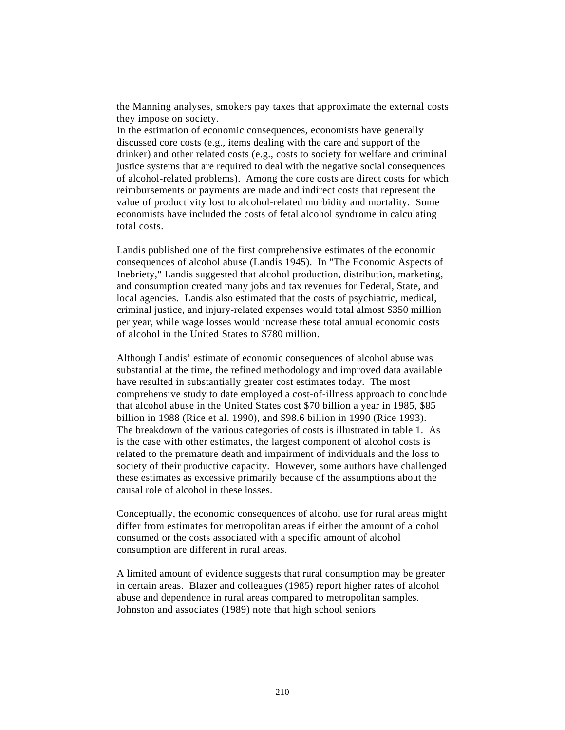the Manning analyses, smokers pay taxes that approximate the external costs they impose on society.

In the estimation of economic consequences, economists have generally discussed core costs (e.g., items dealing with the care and support of the drinker) and other related costs (e.g., costs to society for welfare and criminal justice systems that are required to deal with the negative social consequences of alcohol-related problems). Among the core costs are direct costs for which reimbursements or payments are made and indirect costs that represent the value of productivity lost to alcohol-related morbidity and mortality. Some economists have included the costs of fetal alcohol syndrome in calculating total costs.

Landis published one of the first comprehensive estimates of the economic consequences of alcohol abuse (Landis 1945). In "The Economic Aspects of Inebriety," Landis suggested that alcohol production, distribution, marketing, and consumption created many jobs and tax revenues for Federal, State, and local agencies. Landis also estimated that the costs of psychiatric, medical, criminal justice, and injury-related expenses would total almost \$350 million per year, while wage losses would increase these total annual economic costs of alcohol in the United States to \$780 million.

Although Landis' estimate of economic consequences of alcohol abuse was substantial at the time, the refined methodology and improved data available have resulted in substantially greater cost estimates today. The most comprehensive study to date employed a cost-of-illness approach to conclude that alcohol abuse in the United States cost \$70 billion a year in 1985, \$85 billion in 1988 (Rice et al. 1990), and \$98.6 billion in 1990 (Rice 1993). The breakdown of the various categories of costs is illustrated in table 1. As is the case with other estimates, the largest component of alcohol costs is related to the premature death and impairment of individuals and the loss to society of their productive capacity. However, some authors have challenged these estimates as excessive primarily because of the assumptions about the causal role of alcohol in these losses.

Conceptually, the economic consequences of alcohol use for rural areas might differ from estimates for metropolitan areas if either the amount of alcohol consumed or the costs associated with a specific amount of alcohol consumption are different in rural areas.

A limited amount of evidence suggests that rural consumption may be greater in certain areas. Blazer and colleagues (1985) report higher rates of alcohol abuse and dependence in rural areas compared to metropolitan samples. Johnston and associates (1989) note that high school seniors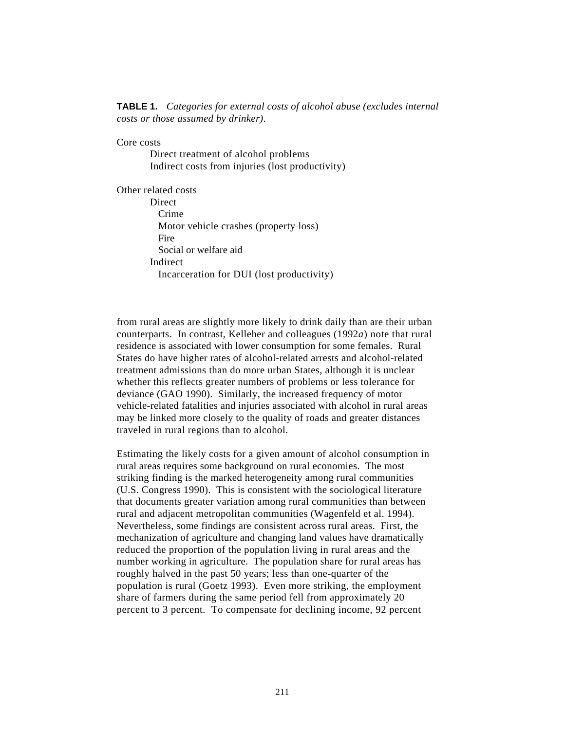#### **TABLE 1.** *Categories for external costs of alcohol abuse (excludes internal costs or those assumed by drinker)*.

Core costs

Direct treatment of alcohol problems Indirect costs from injuries (lost productivity)

Other related costs **Direct** Crime Motor vehicle crashes (property loss) Fire Social or welfare aid Indirect Incarceration for DUI (lost productivity)

from rural areas are slightly more likely to drink daily than are their urban counterparts. In contrast, Kelleher and colleagues (1992*a*) note that rural residence is associated with lower consumption for some females. Rural States do have higher rates of alcohol-related arrests and alcohol-related treatment admissions than do more urban States, although it is unclear whether this reflects greater numbers of problems or less tolerance for deviance (GAO 1990). Similarly, the increased frequency of motor vehicle-related fatalities and injuries associated with alcohol in rural areas may be linked more closely to the quality of roads and greater distances traveled in rural regions than to alcohol.

Estimating the likely costs for a given amount of alcohol consumption in rural areas requires some background on rural economies. The most striking finding is the marked heterogeneity among rural communities (U.S. Congress 1990). This is consistent with the sociological literature that documents greater variation among rural communities than between rural and adjacent metropolitan communities (Wagenfeld et al. 1994). Nevertheless, some findings are consistent across rural areas. First, the mechanization of agriculture and changing land values have dramatically reduced the proportion of the population living in rural areas and the number working in agriculture. The population share for rural areas has roughly halved in the past 50 years; less than one-quarter of the population is rural (Goetz 1993). Even more striking, the employment share of farmers during the same period fell from approximately 20 percent to 3 percent. To compensate for declining income, 92 percent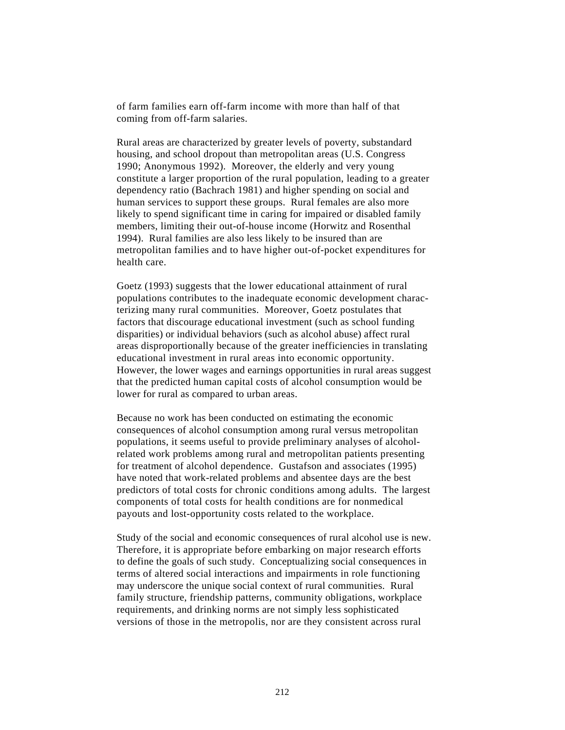of farm families earn off-farm income with more than half of that coming from off-farm salaries.

Rural areas are characterized by greater levels of poverty, substandard housing, and school dropout than metropolitan areas (U.S. Congress 1990; Anonymous 1992). Moreover, the elderly and very young constitute a larger proportion of the rural population, leading to a greater dependency ratio (Bachrach 1981) and higher spending on social and human services to support these groups. Rural females are also more likely to spend significant time in caring for impaired or disabled family members, limiting their out-of-house income (Horwitz and Rosenthal 1994). Rural families are also less likely to be insured than are metropolitan families and to have higher out-of-pocket expenditures for health care.

Goetz (1993) suggests that the lower educational attainment of rural populations contributes to the inadequate economic development characterizing many rural communities. Moreover, Goetz postulates that factors that discourage educational investment (such as school funding disparities) or individual behaviors (such as alcohol abuse) affect rural areas disproportionally because of the greater inefficiencies in translating educational investment in rural areas into economic opportunity. However, the lower wages and earnings opportunities in rural areas suggest that the predicted human capital costs of alcohol consumption would be lower for rural as compared to urban areas.

Because no work has been conducted on estimating the economic consequences of alcohol consumption among rural versus metropolitan populations, it seems useful to provide preliminary analyses of alcoholrelated work problems among rural and metropolitan patients presenting for treatment of alcohol dependence. Gustafson and associates (1995) have noted that work-related problems and absentee days are the best predictors of total costs for chronic conditions among adults. The largest components of total costs for health conditions are for nonmedical payouts and lost-opportunity costs related to the workplace.

Study of the social and economic consequences of rural alcohol use is new. Therefore, it is appropriate before embarking on major research efforts to define the goals of such study. Conceptualizing social consequences in terms of altered social interactions and impairments in role functioning may underscore the unique social context of rural communities. Rural family structure, friendship patterns, community obligations, workplace requirements, and drinking norms are not simply less sophisticated versions of those in the metropolis, nor are they consistent across rural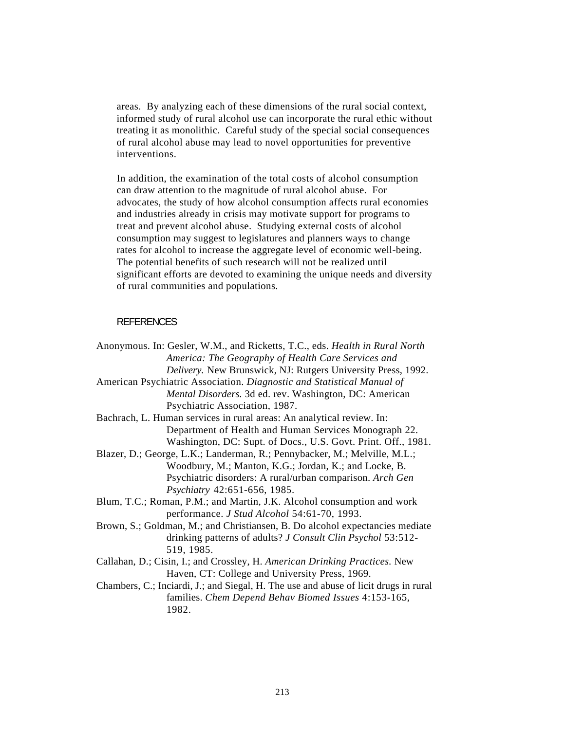areas. By analyzing each of these dimensions of the rural social context, informed study of rural alcohol use can incorporate the rural ethic without treating it as monolithic. Careful study of the special social consequences of rural alcohol abuse may lead to novel opportunities for preventive interventions.

In addition, the examination of the total costs of alcohol consumption can draw attention to the magnitude of rural alcohol abuse. For advocates, the study of how alcohol consumption affects rural economies and industries already in crisis may motivate support for programs to treat and prevent alcohol abuse. Studying external costs of alcohol consumption may suggest to legislatures and planners ways to change rates for alcohol to increase the aggregate level of economic well-being. The potential benefits of such research will not be realized until significant efforts are devoted to examining the unique needs and diversity of rural communities and populations.

#### **REFERENCES**

| Anonymous. In: Gesler, W.M., and Ricketts, T.C., eds. Health in Rural North          |
|--------------------------------------------------------------------------------------|
| America: The Geography of Health Care Services and                                   |
| Delivery. New Brunswick, NJ: Rutgers University Press, 1992.                         |
| American Psychiatric Association. Diagnostic and Statistical Manual of               |
| Mental Disorders. 3d ed. rev. Washington, DC: American                               |
| Psychiatric Association, 1987.                                                       |
| Bachrach, L. Human services in rural areas: An analytical review. In:                |
| Department of Health and Human Services Monograph 22.                                |
| Washington, DC: Supt. of Docs., U.S. Govt. Print. Off., 1981.                        |
| Blazer, D.; George, L.K.; Landerman, R.; Pennybacker, M.; Melville, M.L.;            |
| Woodbury, M.; Manton, K.G.; Jordan, K.; and Locke, B.                                |
| Psychiatric disorders: A rural/urban comparison. Arch Gen                            |
| Psychiatry 42:651-656, 1985.                                                         |
| Blum, T.C.; Roman, P.M.; and Martin, J.K. Alcohol consumption and work               |
| performance. J Stud Alcohol 54:61-70, 1993.                                          |
| Brown, S.; Goldman, M.; and Christiansen, B. Do alcohol expectancies mediate         |
| drinking patterns of adults? J Consult Clin Psychol 53:512-                          |
| 519, 1985.                                                                           |
| Callahan, D.; Cisin, I.; and Crossley, H. American Drinking Practices. New           |
| Haven, CT: College and University Press, 1969.                                       |
| Chambers, C.; Inciardi, J.; and Siegal, H. The use and abuse of licit drugs in rural |
| families. Chem Depend Behav Biomed Issues 4:153-165,                                 |
| 1982.                                                                                |
|                                                                                      |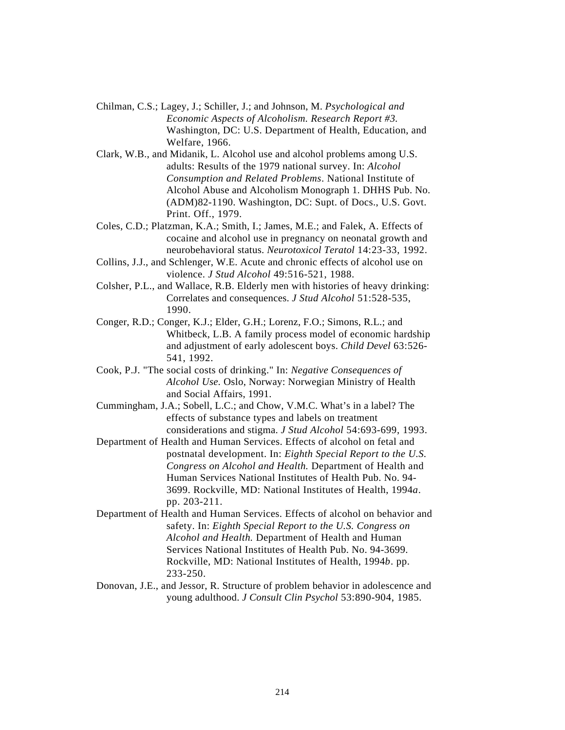- Chilman, C.S.; Lagey, J.; Schiller, J.; and Johnson, M. *Psychological and Economic Aspects of Alcoholism. Research Report #3.* Washington, DC: U.S. Department of Health, Education, and Welfare, 1966.
- Clark, W.B., and Midanik, L. Alcohol use and alcohol problems among U.S. adults: Results of the 1979 national survey. In: *Alcohol Consumption and Related Problems*. National Institute of Alcohol Abuse and Alcoholism Monograph 1. DHHS Pub. No. (ADM)82-1190. Washington, DC: Supt. of Docs., U.S. Govt. Print. Off., 1979.
- Coles, C.D.; Platzman, K.A.; Smith, I.; James, M.E.; and Falek, A. Effects of cocaine and alcohol use in pregnancy on neonatal growth and neurobehavioral status. *Neurotoxicol Teratol* 14:23-33, 1992.
- Collins, J.J., and Schlenger, W.E. Acute and chronic effects of alcohol use on violence. *J Stud Alcohol* 49:516-521, 1988.
- Colsher, P.L., and Wallace, R.B. Elderly men with histories of heavy drinking: Correlates and consequences. *J Stud Alcohol* 51:528-535, 1990.
- Conger, R.D.; Conger, K.J.; Elder, G.H.; Lorenz, F.O.; Simons, R.L.; and Whitbeck, L.B. A family process model of economic hardship and adjustment of early adolescent boys. *Child Devel* 63:526- 541, 1992.
- Cook, P.J. "The social costs of drinking." In: *Negative Consequences of Alcohol Use.* Oslo, Norway: Norwegian Ministry of Health and Social Affairs, 1991.
- Cummingham, J.A.; Sobell, L.C.; and Chow, V.M.C. What's in a label? The effects of substance types and labels on treatment considerations and stigma. *J Stud Alcohol* 54:693-699, 1993.
- Department of Health and Human Services. Effects of alcohol on fetal and postnatal development. In: *Eighth Special Report to the U.S. Congress on Alcohol and Health.* Department of Health and Human Services National Institutes of Health Pub. No. 94- 3699. Rockville, MD: National Institutes of Health, 1994*a*. pp. 203-211.
- Department of Health and Human Services. Effects of alcohol on behavior and safety. In: *Eighth Special Report to the U.S. Congress on Alcohol and Health.* Department of Health and Human Services National Institutes of Health Pub. No. 94-3699. Rockville, MD: National Institutes of Health, 1994*b*. pp. 233-250.
- Donovan, J.E., and Jessor, R. Structure of problem behavior in adolescence and young adulthood. *J Consult Clin Psychol* 53:890-904, 1985.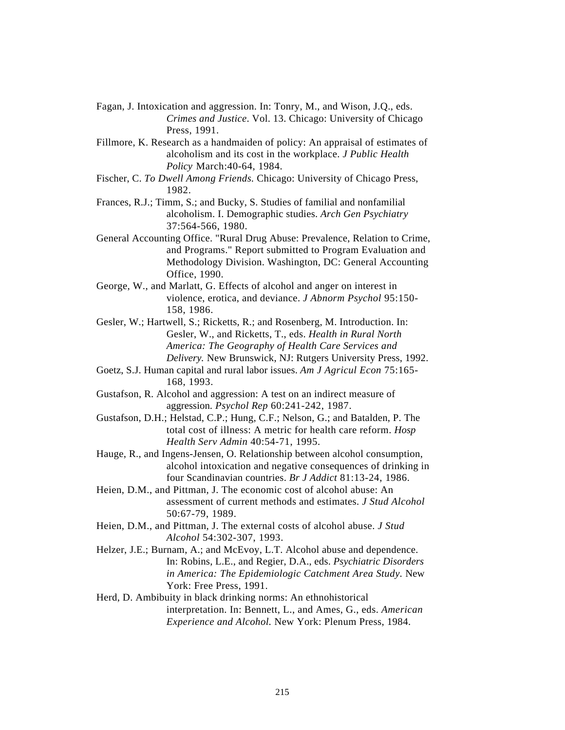- Fagan, J. Intoxication and aggression. In: Tonry, M., and Wison, J.Q., eds. *Crimes and Justice*. Vol. 13. Chicago: University of Chicago Press, 1991.
- Fillmore, K. Research as a handmaiden of policy: An appraisal of estimates of alcoholism and its cost in the workplace. *J Public Health Policy* March:40-64, 1984.
- Fischer, C. *To Dwell Among Friends.* Chicago: University of Chicago Press, 1982.
- Frances, R.J.; Timm, S.; and Bucky, S. Studies of familial and nonfamilial alcoholism. I. Demographic studies. *Arch Gen Psychiatry* 37:564-566, 1980.
- General Accounting Office. "Rural Drug Abuse: Prevalence, Relation to Crime, and Programs." Report submitted to Program Evaluation and Methodology Division. Washington, DC: General Accounting Office, 1990.
- George, W., and Marlatt, G. Effects of alcohol and anger on interest in violence, erotica, and deviance. *J Abnorm Psychol* 95:150- 158, 1986.
- Gesler, W.; Hartwell, S.; Ricketts, R.; and Rosenberg, M. Introduction. In: Gesler, W., and Ricketts, T., eds. *Health in Rural North America: The Geography of Health Care Services and Delivery.* New Brunswick, NJ: Rutgers University Press, 1992.
- Goetz, S.J. Human capital and rural labor issues. *Am J Agricul Econ* 75:165- 168, 1993.
- Gustafson, R. Alcohol and aggression: A test on an indirect measure of aggression. *Psychol Rep* 60:241-242, 1987.
- Gustafson, D.H.; Helstad, C.P.; Hung, C.F.; Nelson, G.; and Batalden, P. The total cost of illness: A metric for health care reform. *Hosp Health Serv Admin* 40:54-71, 1995.
- Hauge, R., and Ingens-Jensen, O. Relationship between alcohol consumption, alcohol intoxication and negative consequences of drinking in four Scandinavian countries. *Br J Addict* 81:13-24, 1986.
- Heien, D.M., and Pittman, J. The economic cost of alcohol abuse: An assessment of current methods and estimates. *J Stud Alcohol* 50:67-79, 1989.
- Heien, D.M., and Pittman, J. The external costs of alcohol abuse. *J Stud Alcohol* 54:302-307, 1993.
- Helzer, J.E.; Burnam, A.; and McEvoy, L.T. Alcohol abuse and dependence. In: Robins, L.E., and Regier, D.A., eds. *Psychiatric Disorders in America: The Epidemiologic Catchment Area Study.* New York: Free Press, 1991.
- Herd, D. Ambibuity in black drinking norms: An ethnohistorical interpretation. In: Bennett, L., and Ames, G., eds. *American Experience and Alcohol.* New York: Plenum Press, 1984.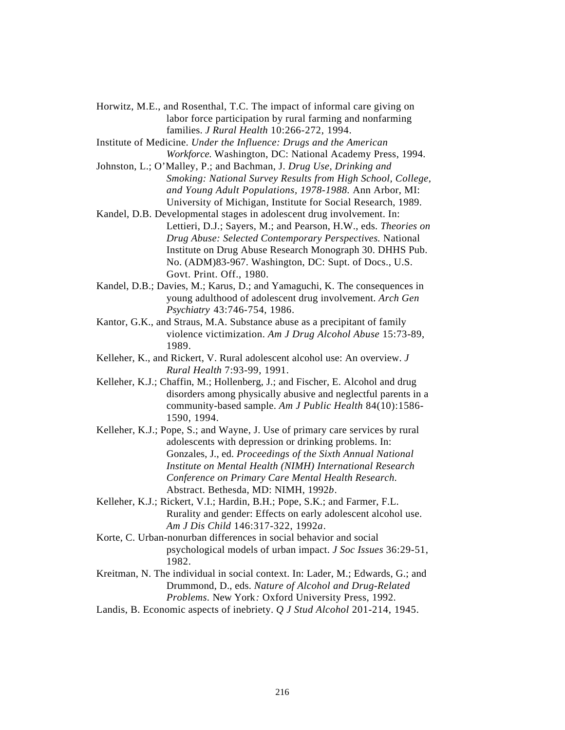- Horwitz, M.E., and Rosenthal, T.C. The impact of informal care giving on labor force participation by rural farming and nonfarming families. *J Rural Health* 10:266-272, 1994.
- Institute of Medicine. *Under the Influence: Drugs and the American Workforce.* Washington, DC: National Academy Press, 1994.
- Johnston, L.; O'Malley, P.; and Bachman, J. *Drug Use, Drinking and Smoking: National Survey Results from High School, College, and Young Adult Populations, 1978-1988.* Ann Arbor, MI: University of Michigan, Institute for Social Research, 1989.
- Kandel, D.B. Developmental stages in adolescent drug involvement. In: Lettieri, D.J.; Sayers, M.; and Pearson, H.W., eds. *Theories on Drug Abuse: Selected Contemporary Perspectives.* National Institute on Drug Abuse Research Monograph 30. DHHS Pub. No. (ADM)83-967. Washington, DC: Supt. of Docs., U.S. Govt. Print. Off., 1980.
- Kandel, D.B.; Davies, M.; Karus, D.; and Yamaguchi, K. The consequences in young adulthood of adolescent drug involvement. *Arch Gen Psychiatry* 43:746-754, 1986.
- Kantor, G.K., and Straus, M.A. Substance abuse as a precipitant of family violence victimization. *Am J Drug Alcohol Abuse* 15:73-89, 1989.
- Kelleher, K., and Rickert, V. Rural adolescent alcohol use: An overview. *J Rural Health* 7:93-99, 1991.
- Kelleher, K.J.; Chaffin, M.; Hollenberg, J.; and Fischer, E. Alcohol and drug disorders among physically abusive and neglectful parents in a community-based sample. *Am J Public Health* 84(10):1586- 1590, 1994.
- Kelleher, K.J.; Pope, S.; and Wayne, J. Use of primary care services by rural adolescents with depression or drinking problems. In: Gonzales, J., ed. *Proceedings of the Sixth Annual National Institute on Mental Health (NIMH) International Research Conference on Primary Care Mental Health Research*. Abstract. Bethesda, MD: NIMH, 1992*b*.
- Kelleher, K.J.; Rickert, V.I.; Hardin, B.H.; Pope, S.K.; and Farmer, F.L. Rurality and gender: Effects on early adolescent alcohol use. *Am J Dis Child* 146:317-322, 1992*a*.
- Korte, C. Urban-nonurban differences in social behavior and social psychological models of urban impact. *J Soc Issues* 36:29-51, 1982.
- Kreitman, N. The individual in social context. In: Lader, M.; Edwards, G.; and Drummond, D., eds. *Nature of Alcohol and Drug-Related Problems.* New York*:* Oxford University Press, 1992.
- Landis, B. Economic aspects of inebriety. *Q J Stud Alcohol* 201-214, 1945.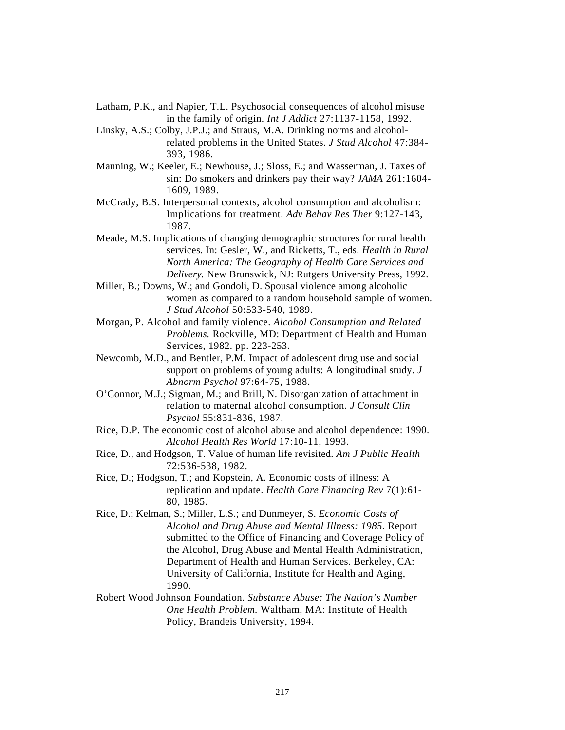- Latham, P.K., and Napier, T.L. Psychosocial consequences of alcohol misuse in the family of origin. *Int J Addict* 27:1137-1158, 1992.
- Linsky, A.S.; Colby, J.P.J.; and Straus, M.A. Drinking norms and alcoholrelated problems in the United States. *J Stud Alcohol* 47:384- 393, 1986.
- Manning, W.; Keeler, E.; Newhouse, J.; Sloss, E.; and Wasserman, J. Taxes of sin: Do smokers and drinkers pay their way? *JAMA* 261:1604- 1609, 1989.
- McCrady, B.S. Interpersonal contexts, alcohol consumption and alcoholism: Implications for treatment. *Adv Behav Res Ther* 9:127-143, 1987.
- Meade, M.S. Implications of changing demographic structures for rural health services. In: Gesler, W., and Ricketts, T., eds. *Health in Rural North America: The Geography of Health Care Services and Delivery.* New Brunswick, NJ: Rutgers University Press, 1992.
- Miller, B.; Downs, W.; and Gondoli, D. Spousal violence among alcoholic women as compared to a random household sample of women. *J Stud Alcohol* 50:533-540, 1989.
- Morgan, P. Alcohol and family violence. *Alcohol Consumption and Related Problems.* Rockville, MD: Department of Health and Human Services, 1982. pp. 223-253.
- Newcomb, M.D., and Bentler, P.M. Impact of adolescent drug use and social support on problems of young adults: A longitudinal study. *J Abnorm Psychol* 97:64-75, 1988.
- O'Connor, M.J.; Sigman, M.; and Brill, N. Disorganization of attachment in relation to maternal alcohol consumption. *J Consult Clin Psychol* 55:831-836, 1987.
- Rice, D.P. The economic cost of alcohol abuse and alcohol dependence: 1990. *Alcohol Health Res World* 17:10-11, 1993.
- Rice, D., and Hodgson, T. Value of human life revisited. *Am J Public Health* 72:536-538, 1982.
- Rice, D.; Hodgson, T.; and Kopstein, A. Economic costs of illness: A replication and update. *Health Care Financing Rev* 7(1):61- 80, 1985.
- Rice, D.; Kelman, S.; Miller, L.S.; and Dunmeyer, S. *Economic Costs of Alcohol and Drug Abuse and Mental Illness: 1985.* Report submitted to the Office of Financing and Coverage Policy of the Alcohol, Drug Abuse and Mental Health Administration, Department of Health and Human Services. Berkeley, CA: University of California, Institute for Health and Aging, 1990.
- Robert Wood Johnson Foundation. *Substance Abuse: The Nation's Number One Health Problem.* Waltham, MA: Institute of Health Policy, Brandeis University, 1994.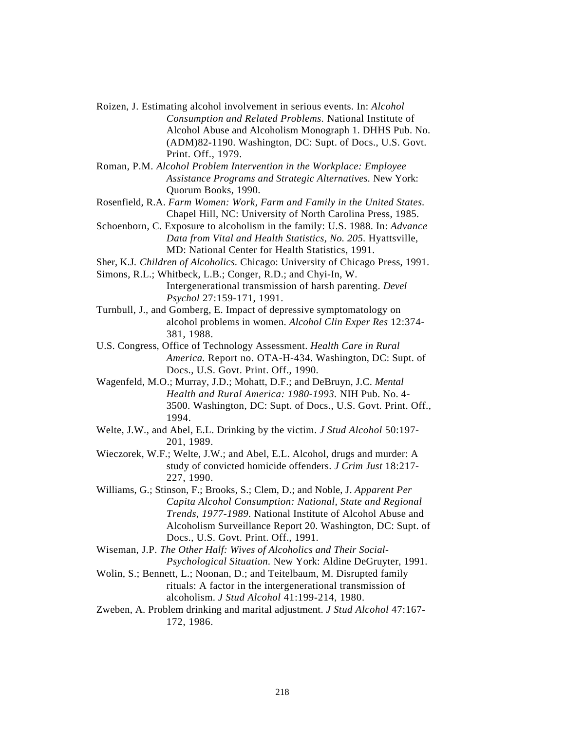- Roizen, J. Estimating alcohol involvement in serious events. In: *Alcohol Consumption and Related Problems.* National Institute of Alcohol Abuse and Alcoholism Monograph 1. DHHS Pub. No. (ADM)82-1190. Washington, DC: Supt. of Docs., U.S. Govt. Print. Off., 1979.
- Roman, P.M. *Alcohol Problem Intervention in the Workplace: Employee Assistance Programs and Strategic Alternatives.* New York: Quorum Books, 1990.
- Rosenfield, R.A. *Farm Women: Work, Farm and Family in the United States.* Chapel Hill, NC: University of North Carolina Press, 1985.
- Schoenborn, C. Exposure to alcoholism in the family: U.S. 1988. In: *Advance Data from Vital and Health Statistics, No. 205.* Hyattsville, MD: National Center for Health Statistics, 1991.
- Sher, K.J. *Children of Alcoholics.* Chicago: University of Chicago Press, 1991.
- Simons, R.L.; Whitbeck, L.B.; Conger, R.D.; and Chyi-In, W. Intergenerational transmission of harsh parenting. *Devel Psychol* 27:159-171, 1991.
- Turnbull, J., and Gomberg, E. Impact of depressive symptomatology on alcohol problems in women. *Alcohol Clin Exper Res* 12:374- 381, 1988.
- U.S. Congress, Office of Technology Assessment. *Health Care in Rural America.* Report no. OTA-H-434. Washington, DC: Supt. of Docs., U.S. Govt. Print. Off., 1990.
- Wagenfeld, M.O.; Murray, J.D.; Mohatt, D.F.; and DeBruyn, J.C. *Mental Health and Rural America: 1980-1993.* NIH Pub. No. 4- 3500. Washington, DC: Supt. of Docs., U.S. Govt. Print. Off., 1994.
- Welte, J.W., and Abel, E.L. Drinking by the victim. *J Stud Alcohol* 50:197- 201, 1989.
- Wieczorek, W.F.; Welte, J.W.; and Abel, E.L. Alcohol, drugs and murder: A study of convicted homicide offenders. *J Crim Just* 18:217- 227, 1990.
- Williams, G.; Stinson, F.; Brooks, S.; Clem, D.; and Noble, J. *Apparent Per Capita Alcohol Consumption: National, State and Regional Trends, 1977-1989.* National Institute of Alcohol Abuse and Alcoholism Surveillance Report 20. Washington, DC: Supt. of Docs., U.S. Govt. Print. Off., 1991.
- Wiseman, J.P. *The Other Half: Wives of Alcoholics and Their Social-Psychological Situation.* New York: Aldine DeGruyter, 1991.
- Wolin, S.; Bennett, L.; Noonan, D.; and Teitelbaum, M. Disrupted family rituals: A factor in the intergenerational transmission of alcoholism. *J Stud Alcohol* 41:199-214, 1980.
- Zweben, A. Problem drinking and marital adjustment. *J Stud Alcohol* 47:167- 172, 1986.